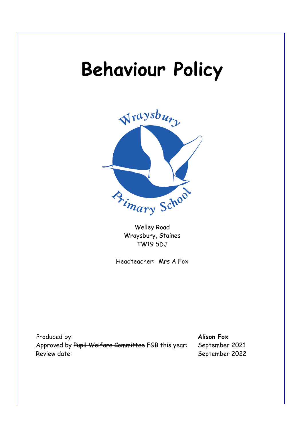# **Behaviour Policy**



Welley Road Wraysbury, Staines TW19 5DJ

Headteacher: Mrs A Fox

Produced by: **Alison Fox** Approved by Pupil Welfare Committee FGB this year: September 2021 Review date: September 2022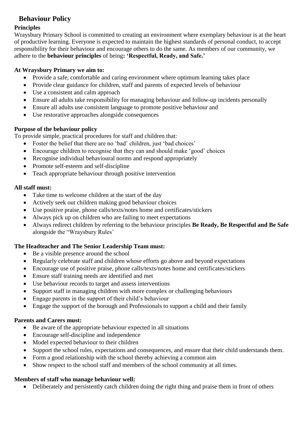# **Behaviour Policy**

# **Principles**

Wraysbury Primary School is committed to creating an environment where exemplary behaviour is at the heart of productive learning. Everyone is expected to maintain the highest standards of personal conduct, to accept responsibility for their behaviour and encourage others to do the same. As members of our community, we adhere to the **behaviour principles** of being**: 'Respectful, Ready, and Safe.'**

# **At Wraysbury Primary we aim to:**

- Provide a safe, comfortable and caring environment where optimum learning takes place
- Provide clear guidance for children, staff and parents of expected levels of behaviour
- Use a consistent and calm approach
- Ensure all adults take responsibility for managing behaviour and follow-up incidents personally
- Ensure all adults use consistent language to promote positive behaviour and
- Use restorative approaches alongside consequences

# **Purpose of the behaviour policy**

To provide simple, practical procedures for staff and children that:

- Foster the belief that there are no 'bad' children, just 'bad choices'
- Encourage children to recognise that they can and should make 'good' choices
- Recognise individual behavioural norms and respond appropriately
- Promote self-esteem and self-discipline
- Teach appropriate behaviour through positive intervention

# **All staff must:**

- Take time to welcome children at the start of the day
- Actively seek out children making good behaviour choices
- Use positive praise, phone calls/texts/notes home and certificates/stickers
- Always pick up on children who are failing to meet expectations
- Always redirect children by referring to the behaviour principles **Be Ready, Be Respectful and Be Safe** alongside the "Wraysbury Rules'

## **The Headteacher and The Senior Leadership Team must:**

- Be a visible presence around the school
- Regularly celebrate staff and children whose efforts go above and beyond expectations
- Encourage use of positive praise, phone calls/texts/notes home and certificates/stickers
- Ensure staff training needs are identified and met
- Use behaviour records to target and assess interventions
- Support staff in managing children with more complex or challenging behaviours
- Engage parents in the support of their child's behaviour
- Engage the support of the borough and Professionals to support a child and their family

# **Parents and Carers must:**

- Be aware of the appropriate behaviour expected in all situations
- Encourage self-discipline and independence
- Model expected behaviour to their children
- Support the school rules, expectations and consequences, and ensure that their child understands them.
- Form a good relationship with the school thereby achieving a common aim
- Show respect to the school staff and members of the school community at all times.

## **Members of staff who manage behaviour well:**

Deliberately and persistently catch children doing the right thing and praise them in front of others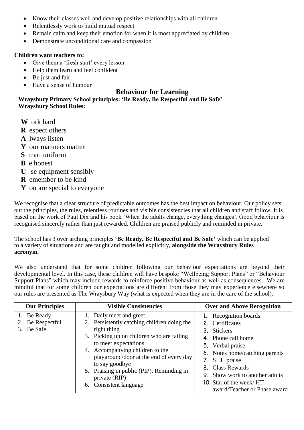- Know their classes well and develop positive relationships with all children
- Relentlessly work to build mutual respect
- Remain calm and keep their emotion for when it is most appreciated by children
- Demonstrate unconditional care and compassion

# **Children want teachers to:**

- Give them a 'fresh start' every lesson
- Help them learn and feel confident
- Be just and fair
- Have a sense of humour

# **Behaviour for Learning**

**Wraysbury Primary School principles: 'Be Ready, Be Respectful and Be Safe' Wraysbury School Rules:**

 **W** ork hard

- **R** espect others
- **A** lways listen
- **Y** our manners matter
- **S** mart uniform
- **B** e honest
- **U** se equipment sensibly
- **R** emember to be kind
- **Y** ou are special to everyone

We recognise that a clear structure of predictable outcomes has the best impact on behaviour. Our policy sets out the principles, the rules, relentless routines and visible consistencies that all children and staff follow. It is based on the work of Paul Dix and his book 'When the adults change, everything changes'. Good behaviour is recognised sincerely rather than just rewarded. Children are praised publicly and reminded in private.

The school has 3 over arching principles **'Be Ready, Be Respectful and Be Safe'** which can be applied to a variety of situations and are taught and modelled explicitly, **alongside the Wraysbury Rules acronym.**

We also understand that for some children following our behaviour expectations are beyond their developmental level. In this case, these children will have bespoke "Wellbeing Support Plans" or "Behaviour Support Plans" which may include rewards to reinforce positive behaviour as well as consequences. We are mindful that for some children our expectations are different from those they may experience elsewhere so our rules are presented as The Wraysbury Way (what is expected when they are in the care of the school).

| <b>Our Principles</b>                      | <b>Visible Consistencies</b>                                                                                                                                                                                                                                                                                                                       | <b>Over and Above Recognition</b>                                                                                                                                                                                                                                            |
|--------------------------------------------|----------------------------------------------------------------------------------------------------------------------------------------------------------------------------------------------------------------------------------------------------------------------------------------------------------------------------------------------------|------------------------------------------------------------------------------------------------------------------------------------------------------------------------------------------------------------------------------------------------------------------------------|
| 1. Be Ready<br>Be Respectful<br>3. Be Safe | 1. Daily meet and greet<br>2. Persistently catching children doing the<br>right thing<br>3. Picking up on children who are failing<br>to meet expectations<br>4. Accompanying children to the<br>playground/door at the end of every day<br>to say goodbye<br>5. Praising in public (PIP), Reminding in<br>private (RIP)<br>6. Consistent language | 1. Recognition boards<br>2. Certificates<br>3. Stickers<br>4. Phone call home<br>5. Verbal praise<br>6. Notes home/catching parents<br>7. SLT praise<br>8. Class Rewards<br><b>9.</b> Show work to another adults<br>10. Star of the week/HT<br>award/Teacher or Phase award |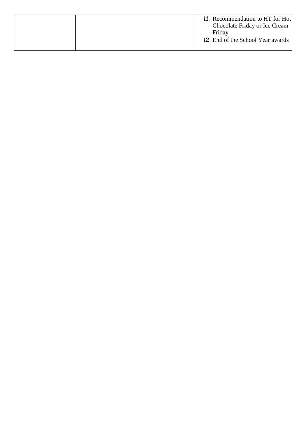|  | 11. Recommendation to HT for Hot<br>Chocolate Friday or Ice Cream<br>Friday<br>12. End of the School Year awards |
|--|------------------------------------------------------------------------------------------------------------------|
|  |                                                                                                                  |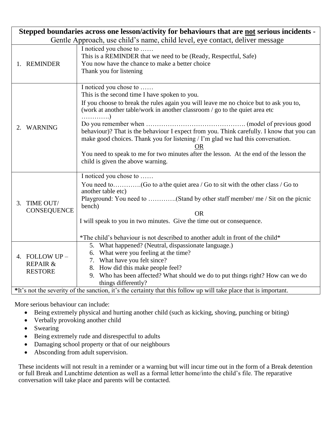| Stepped boundaries across one lesson/activity for behaviours that are not serious incidents - |                                                                                                                                                                                                                                                                                                                                                                                                                                                                                                                                                                              |  |
|-----------------------------------------------------------------------------------------------|------------------------------------------------------------------------------------------------------------------------------------------------------------------------------------------------------------------------------------------------------------------------------------------------------------------------------------------------------------------------------------------------------------------------------------------------------------------------------------------------------------------------------------------------------------------------------|--|
| Gentle Approach, use child's name, child level, eye contact, deliver message                  |                                                                                                                                                                                                                                                                                                                                                                                                                                                                                                                                                                              |  |
| 1. REMINDER                                                                                   | I noticed you chose to<br>This is a REMINDER that we need to be (Ready, Respectful, Safe)<br>You now have the chance to make a better choice<br>Thank you for listening                                                                                                                                                                                                                                                                                                                                                                                                      |  |
| WARNING<br>2.                                                                                 | I noticed you chose to<br>This is the second time I have spoken to you.<br>If you choose to break the rules again you will leave me no choice but to ask you to,<br>(work at another table/work in another classroom / go to the quiet area etc<br>. )<br>behaviour)? That is the behaviour I expect from you. Think carefully. I know that you can<br>make good choices. Thank you for listening / I'm glad we had this conversation.<br>OR.<br>You need to speak to me for two minutes after the lesson. At the end of the lesson the<br>child is given the above warning. |  |
| TIME OUT/<br>3.<br><b>CONSEQUENCE</b>                                                         | I noticed you chose to<br>another table etc)<br>Playground: You need to (Stand by other staff member/me / Sit on the picnic<br>bench)<br><b>OR</b><br>I will speak to you in two minutes. Give the time out or consequence.<br>*The child's behaviour is not described to another adult in front of the child*                                                                                                                                                                                                                                                               |  |
| 4. FOLLOW UP -<br><b>REPAIR &amp;</b><br><b>RESTORE</b>                                       | 5. What happened? (Neutral, dispassionate language.)<br>6. What were you feeling at the time?<br>7. What have you felt since?<br>8. How did this make people feel?<br>9. Who has been affected? What should we do to put things right? How can we do<br>things differently?<br>*It's not the severity of the sanction, it's the certainty that this follow up will take place that is important.                                                                                                                                                                             |  |

More serious behaviour can include:

- Being extremely physical and hurting another child (such as kicking, shoving, punching or biting)
- Verbally provoking another child
- Swearing
- Being extremely rude and disrespectful to adults
- Damaging school property or that of our neighbours
- Absconding from adult supervision.

These incidents will not result in a reminder or a warning but will incur time out in the form of a Break detention or full Break and Lunchtime detention as well as a formal letter home/into the child's file. The reparative conversation will take place and parents will be contacted.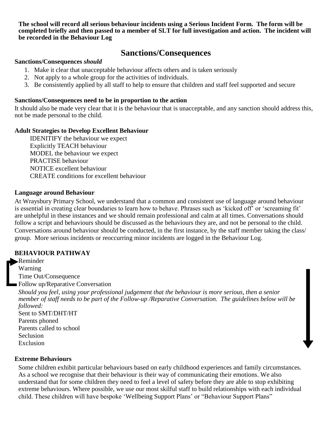**The school will record all serious behaviour incidents using a Serious Incident Form. The form will be completed briefly and then passed to a member of SLT for full investigation and action. The incident will be recorded in the Behaviour Log**

# **Sanctions/Consequences**

#### **Sanctions/Consequences** *should*

- 1. Make it clear that unacceptable behaviour affects others and is taken seriously
- 2. Not apply to a whole group for the activities of individuals.
- 3. Be consistently applied by all staff to help to ensure that children and staff feel supported and secure

#### **Sanctions/Consequences need to be in proportion to the action**

It should also be made very clear that it is the behaviour that is unacceptable, and any sanction should address this, not be made personal to the child.

#### **Adult Strategies to Develop Excellent Behaviour**

IDENITIFY the behaviour we expect Explicitly TEACH behaviour MODEL the behaviour we expect PRACTISE behaviour NOTICE excellent behaviour CREATE conditions for excellent behaviour

#### **Language around Behaviour**

At Wraysbury Primary School, we understand that a common and consistent use of language around behaviour is essential in creating clear boundaries to learn how to behave. Phrases such as 'kicked off' or 'screaming fit' are unhelpful in these instances and we should remain professional and calm at all times. Conversations should follow a script and behaviours should be discussed as the behaviours they are, and not be personal to the child. Conversations around behaviour should be conducted, in the first instance, by the staff member taking the class/ group. More serious incidents or reoccurring minor incidents are logged in the Behaviour Log.

## **BEHAVIOUR PATHWAY**

Reminder Warning Time Out/Consequence Follow up/Reparative Conversation *Should you feel, using your professional judgement that the behaviour is more serious, then a senior member of staff needs to be part of the Follow-up /Reparative Conversation. The guidelines below will be followed:* Sent to SMT/DHT/HT Parents phoned Parents called to school **Seclusion** Exclusion

#### **Extreme Behaviours**

Some children exhibit particular behaviours based on early childhood experiences and family circumstances. As a school we recognise that their behaviour is their way of communicating their emotions. We also understand that for some children they need to feel a level of safety before they are able to stop exhibiting extreme behaviours. Where possible, we use our most skilful staff to build relationships with each individual child. These children will have bespoke 'Wellbeing Support Plans' or "Behaviour Support Plans"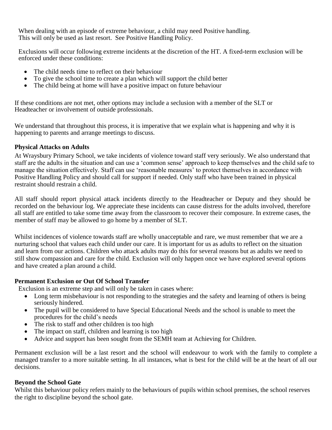When dealing with an episode of extreme behaviour, a child may need Positive handling. This will only be used as last resort. See Positive Handling Policy.

Exclusions will occur following extreme incidents at the discretion of the HT. A fixed-term exclusion will be enforced under these conditions:

- The child needs time to reflect on their behaviour
- To give the school time to create a plan which will support the child better
- The child being at home will have a positive impact on future behaviour

If these conditions are not met, other options may include a seclusion with a member of the SLT or Headteacher or involvement of outside professionals.

We understand that throughout this process, it is imperative that we explain what is happening and why it is happening to parents and arrange meetings to discuss.

#### **Physical Attacks on Adults**

At Wraysbury Primary School, we take incidents of violence toward staff very seriously. We also understand that staff are the adults in the situation and can use a 'common sense' approach to keep themselves and the child safe to manage the situation effectively. Staff can use 'reasonable measures' to protect themselves in accordance with Positive Handling Policy and should call for support if needed. Only staff who have been trained in physical restraint should restrain a child.

All staff should report physical attack incidents directly to the Headteacher or Deputy and they should be recorded on the behaviour log. We appreciate these incidents can cause distress for the adults involved, therefore all staff are entitled to take some time away from the classroom to recover their composure. In extreme cases, the member of staff may be allowed to go home by a member of SLT.

Whilst incidences of violence towards staff are wholly unacceptable and rare, we must remember that we are a nurturing school that values each child under our care. It is important for us as adults to reflect on the situation and learn from our actions. Children who attack adults may do this for several reasons but as adults we need to still show compassion and care for the child. Exclusion will only happen once we have explored several options and have created a plan around a child.

#### **Permanent Exclusion or Out Of School Transfer**

Exclusion is an extreme step and will only be taken in cases where:

- Long term misbehaviour is not responding to the strategies and the safety and learning of others is being seriously hindered.
- The pupil will be considered to have Special Educational Needs and the school is unable to meet the procedures for the child's needs
- The risk to staff and other children is too high
- The impact on staff, children and learning is too high
- Advice and support has been sought from the SEMH team at Achieving for Children.

Permanent exclusion will be a last resort and the school will endeavour to work with the family to complete a managed transfer to a more suitable setting. In all instances, what is best for the child will be at the heart of all our decisions.

#### **Beyond the School Gate**

Whilst this behaviour policy refers mainly to the behaviours of pupils within school premises, the school reserves the right to discipline beyond the school gate.